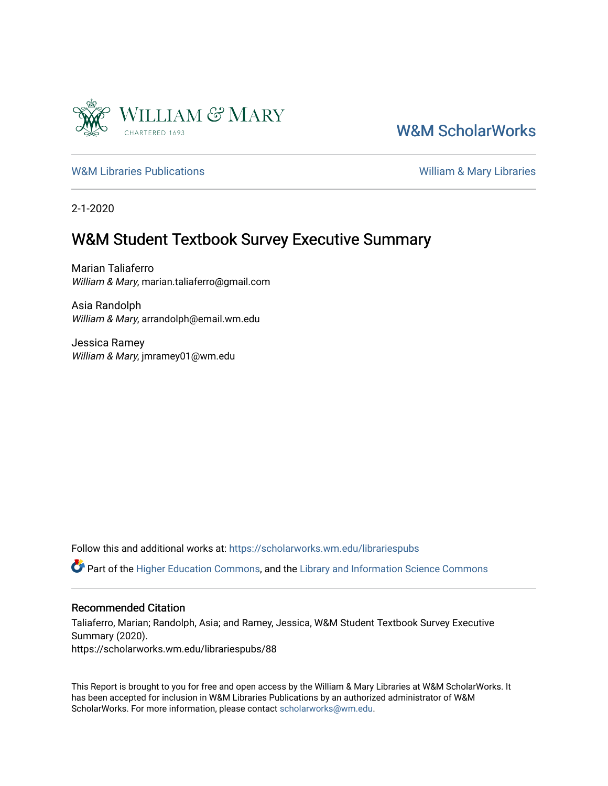

# [W&M ScholarWorks](https://scholarworks.wm.edu/)

[W&M Libraries Publications](https://scholarworks.wm.edu/librariespubs) **William & Mary Libraries** William & Mary Libraries

2-1-2020

# W&M Student Textbook Survey Executive Summary

Marian Taliaferro William & Mary, marian.taliaferro@gmail.com

Asia Randolph William & Mary, arrandolph@email.wm.edu

Jessica Ramey William & Mary, jmramey01@wm.edu

Follow this and additional works at: [https://scholarworks.wm.edu/librariespubs](https://scholarworks.wm.edu/librariespubs?utm_source=scholarworks.wm.edu%2Flibrariespubs%2F88&utm_medium=PDF&utm_campaign=PDFCoverPages)

Part of the [Higher Education Commons,](http://network.bepress.com/hgg/discipline/1245?utm_source=scholarworks.wm.edu%2Flibrariespubs%2F88&utm_medium=PDF&utm_campaign=PDFCoverPages) and the [Library and Information Science Commons](http://network.bepress.com/hgg/discipline/1018?utm_source=scholarworks.wm.edu%2Flibrariespubs%2F88&utm_medium=PDF&utm_campaign=PDFCoverPages) 

#### Recommended Citation

Taliaferro, Marian; Randolph, Asia; and Ramey, Jessica, W&M Student Textbook Survey Executive Summary (2020). https://scholarworks.wm.edu/librariespubs/88

This Report is brought to you for free and open access by the William & Mary Libraries at W&M ScholarWorks. It has been accepted for inclusion in W&M Libraries Publications by an authorized administrator of W&M ScholarWorks. For more information, please contact [scholarworks@wm.edu.](mailto:scholarworks@wm.edu)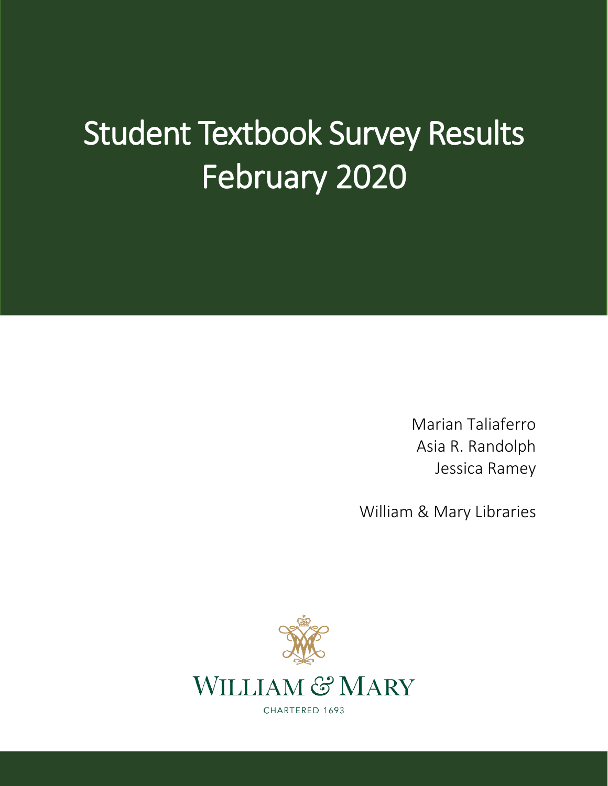# Student Textbook Survey Results February 2020

Marian Taliaferro Asia R. Randolph Jessica Ramey

William & Mary Libraries



CHARTERED 1693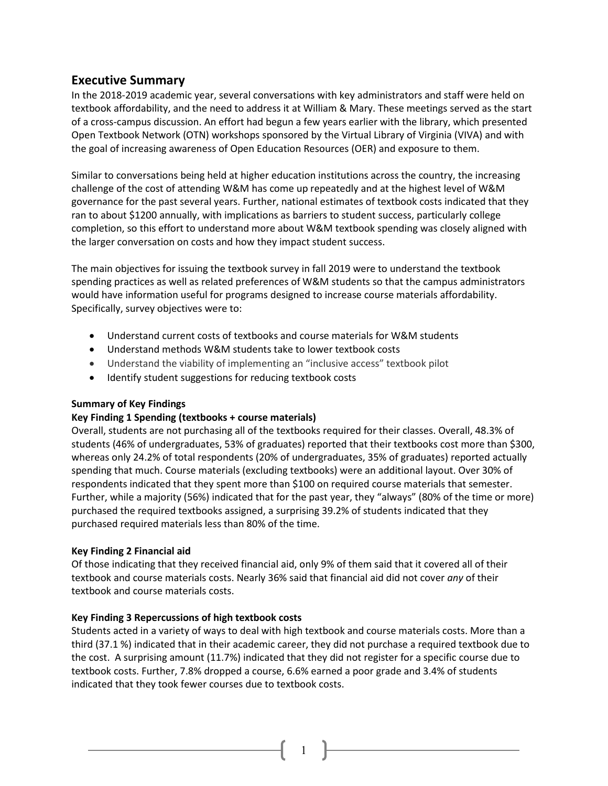# **Executive Summary**

In the 2018-2019 academic year, several conversations with key administrators and staff were held on textbook affordability, and the need to address it at William & Mary. These meetings served as the start of a cross-campus discussion. An effort had begun a few years earlier with the library, which presented Open Textbook Network (OTN) workshops sponsored by the Virtual Library of Virginia (VIVA) and with the goal of increasing awareness of Open Education Resources (OER) and exposure to them.

Similar to conversations being held at higher education institutions across the country, the increasing challenge of the cost of attending W&M has come up repeatedly and at the highest level of W&M governance for the past several years. Further, national estimates of textbook costs indicated that they ran to about \$1200 annually, with implications as barriers to student success, particularly college completion, so this effort to understand more about W&M textbook spending was closely aligned with the larger conversation on costs and how they impact student success.

The main objectives for issuing the textbook survey in fall 2019 were to understand the textbook spending practices as well as related preferences of W&M students so that the campus administrators would have information useful for programs designed to increase course materials affordability. Specifically, survey objectives were to:

- Understand current costs of textbooks and course materials for W&M students
- Understand methods W&M students take to lower textbook costs
- Understand the viability of implementing an "inclusive access" textbook pilot
- Identify student suggestions for reducing textbook costs

## **Summary of Key Findings**

## **Key Finding 1 Spending (textbooks + course materials)**

Overall, students are not purchasing all of the textbooks required for their classes. Overall, 48.3% of students (46% of undergraduates, 53% of graduates) reported that their textbooks cost more than \$300, whereas only 24.2% of total respondents (20% of undergraduates, 35% of graduates) reported actually spending that much. Course materials (excluding textbooks) were an additional layout. Over 30% of respondents indicated that they spent more than \$100 on required course materials that semester. Further, while a majority (56%) indicated that for the past year, they "always" (80% of the time or more) purchased the required textbooks assigned, a surprising 39.2% of students indicated that they purchased required materials less than 80% of the time.

## **Key Finding 2 Financial aid**

Of those indicating that they received financial aid, only 9% of them said that it covered all of their textbook and course materials costs. Nearly 36% said that financial aid did not cover *any* of their textbook and course materials costs.

## **Key Finding 3 Repercussions of high textbook costs**

Students acted in a variety of ways to deal with high textbook and course materials costs. More than a third (37.1 %) indicated that in their academic career, they did not purchase a required textbook due to the cost. A surprising amount (11.7%) indicated that they did not register for a specific course due to textbook costs. Further, 7.8% dropped a course, 6.6% earned a poor grade and 3.4% of students indicated that they took fewer courses due to textbook costs.

1